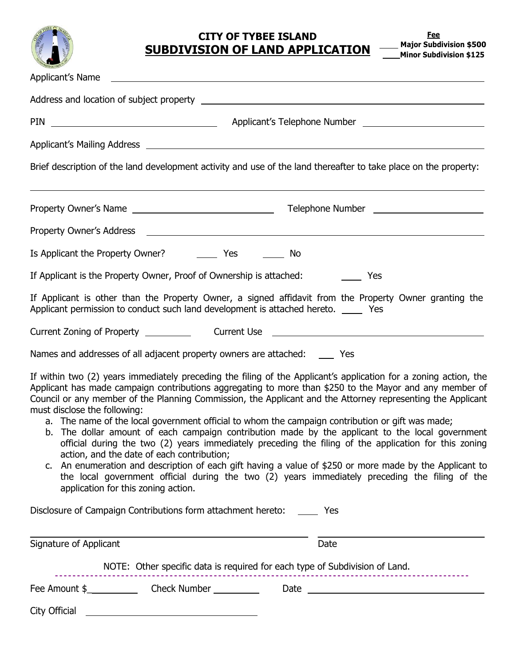

# **CITY OF TYBEE ISLAND SUBDIVISION OF LAND APPLICATION**

| Applicant's Name and the contract of the contract of the contract of the contract of the contract of the contract of the contract of the contract of the contract of the contract of the contract of the contract of the contr                                                                                                                                                                                                                                                                                                                                                                                                                                                                                                                                                                                                                                                                                                                                                                |
|-----------------------------------------------------------------------------------------------------------------------------------------------------------------------------------------------------------------------------------------------------------------------------------------------------------------------------------------------------------------------------------------------------------------------------------------------------------------------------------------------------------------------------------------------------------------------------------------------------------------------------------------------------------------------------------------------------------------------------------------------------------------------------------------------------------------------------------------------------------------------------------------------------------------------------------------------------------------------------------------------|
|                                                                                                                                                                                                                                                                                                                                                                                                                                                                                                                                                                                                                                                                                                                                                                                                                                                                                                                                                                                               |
|                                                                                                                                                                                                                                                                                                                                                                                                                                                                                                                                                                                                                                                                                                                                                                                                                                                                                                                                                                                               |
| Applicant's Mailing Address <b>Accessible 2018</b> Applicant's Mailing Address <b>Applicant's Mailing Address</b>                                                                                                                                                                                                                                                                                                                                                                                                                                                                                                                                                                                                                                                                                                                                                                                                                                                                             |
| Brief description of the land development activity and use of the land thereafter to take place on the property:                                                                                                                                                                                                                                                                                                                                                                                                                                                                                                                                                                                                                                                                                                                                                                                                                                                                              |
|                                                                                                                                                                                                                                                                                                                                                                                                                                                                                                                                                                                                                                                                                                                                                                                                                                                                                                                                                                                               |
|                                                                                                                                                                                                                                                                                                                                                                                                                                                                                                                                                                                                                                                                                                                                                                                                                                                                                                                                                                                               |
| No                                                                                                                                                                                                                                                                                                                                                                                                                                                                                                                                                                                                                                                                                                                                                                                                                                                                                                                                                                                            |
| If Applicant is the Property Owner, Proof of Ownership is attached: The Mes                                                                                                                                                                                                                                                                                                                                                                                                                                                                                                                                                                                                                                                                                                                                                                                                                                                                                                                   |
| If Applicant is other than the Property Owner, a signed affidavit from the Property Owner granting the<br>Applicant permission to conduct such land development is attached hereto. _____ Yes                                                                                                                                                                                                                                                                                                                                                                                                                                                                                                                                                                                                                                                                                                                                                                                                 |
|                                                                                                                                                                                                                                                                                                                                                                                                                                                                                                                                                                                                                                                                                                                                                                                                                                                                                                                                                                                               |
| Names and addresses of all adjacent property owners are attached: ______ Yes                                                                                                                                                                                                                                                                                                                                                                                                                                                                                                                                                                                                                                                                                                                                                                                                                                                                                                                  |
| If within two (2) years immediately preceding the filing of the Applicant's application for a zoning action, the<br>Applicant has made campaign contributions aggregating to more than \$250 to the Mayor and any member of<br>Council or any member of the Planning Commission, the Applicant and the Attorney representing the Applicant<br>must disclose the following:<br>a. The name of the local government official to whom the campaign contribution or gift was made;<br>b. The dollar amount of each campaign contribution made by the applicant to the local government<br>official during the two (2) years immediately preceding the filing of the application for this zoning<br>action, and the date of each contribution;<br>c. An enumeration and description of each gift having a value of \$250 or more made by the Applicant to<br>the local government official during the two (2) years immediately preceding the filing of the<br>application for this zoning action. |
| Disclosure of Campaign Contributions form attachment hereto: _______ Yes                                                                                                                                                                                                                                                                                                                                                                                                                                                                                                                                                                                                                                                                                                                                                                                                                                                                                                                      |
| Signature of Applicant<br>Date                                                                                                                                                                                                                                                                                                                                                                                                                                                                                                                                                                                                                                                                                                                                                                                                                                                                                                                                                                |
| NOTE: Other specific data is required for each type of Subdivision of Land.                                                                                                                                                                                                                                                                                                                                                                                                                                                                                                                                                                                                                                                                                                                                                                                                                                                                                                                   |
| City Official<br><u> 1989 - Johann Stoff, deutscher Stoffen und der Stoffen und der Stoffen und der Stoffen und der Stoffen und der</u>                                                                                                                                                                                                                                                                                                                                                                                                                                                                                                                                                                                                                                                                                                                                                                                                                                                       |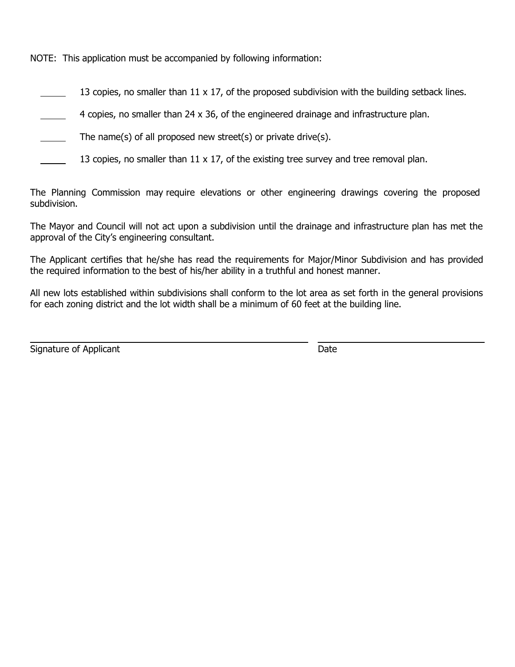NOTE: This application must be accompanied by following information:

13 copies, no smaller than 11 x 17, of the proposed subdivision with the building setback lines.

4 copies, no smaller than 24 x 36, of the engineered drainage and infrastructure plan.

The name(s) of all proposed new street(s) or private drive(s).

13 copies, no smaller than  $11 \times 17$ , of the existing tree survey and tree removal plan.

The Planning Commission may require elevations or other engineering drawings covering the proposed subdivision.

The Mayor and Council will not act upon a subdivision until the drainage and infrastructure plan has met the approval of the City's engineering consultant.

The Applicant certifies that he/she has read the requirements for Major/Minor Subdivision and has provided the required information to the best of his/her ability in a truthful and honest manner.

All new lots established within subdivisions shall conform to the lot area as set forth in the general provisions for each zoning district and the lot width shall be a minimum of 60 feet at the building line.

Signature of Applicant Date **Date**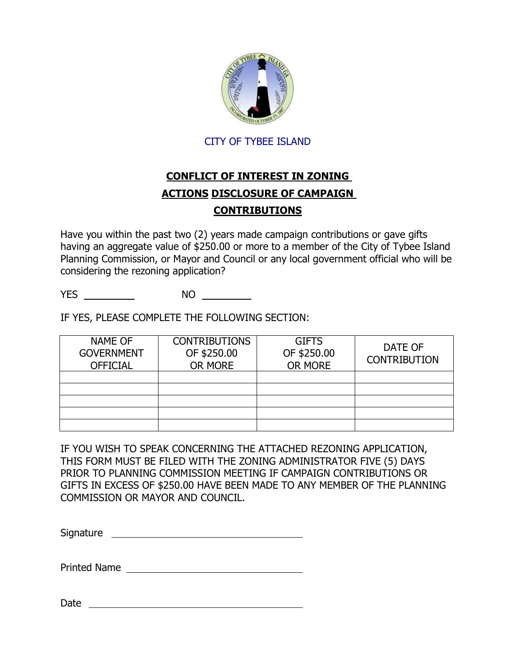

## CITY OF TYBEE ISLAND

# **CONFLICT OF INTEREST IN ZONING ACTIONS DISCLOSURE OF CAMPAIGN CONTRIBUTIONS**

Have you within the past two (2) years made campaign contributions or gave gifts having an aggregate value of \$250.00 or more to a member of the City of Tybee Island Planning Commission, or Mayor and Council or any local government official who will be considering the rezoning application?

YES NO

IF YES, PLEASE COMPLETE THE FOLLOWING SECTION:

| <b>NAME OF</b><br><b>GOVERNMENT</b><br><b>OFFICIAL</b> | <b>CONTRIBUTIONS</b><br>OF \$250.00<br>OR MORE | <b>GIFTS</b><br>OF \$250.00<br>OR MORE | DATE OF<br><b>CONTRIBUTION</b> |
|--------------------------------------------------------|------------------------------------------------|----------------------------------------|--------------------------------|
|                                                        |                                                |                                        |                                |
|                                                        |                                                |                                        |                                |
|                                                        |                                                |                                        |                                |
|                                                        |                                                |                                        |                                |
|                                                        |                                                |                                        |                                |

IF YOU WISH TO SPEAK CONCERNING THE ATTACHED REZONING APPLICATION, THIS FORM MUST BE FILED WITH THE ZONING ADMINISTRATOR FIVE (5) DAYS PRIOR TO PLANNING COMMISSION MEETING IF CAMPAIGN CONTRIBUTIONS OR GIFTS IN EXCESS OF \$250.00 HAVE BEEN MADE TO ANY MEMBER OF THE PLANNING COMMISSION OR MAYOR AND COUNCIL.

Signature **Signature** and the state of the state of the state of the state of the state of the state of the state of the state of the state of the state of the state of the state of the state of the state of the state of t

Printed Name

Date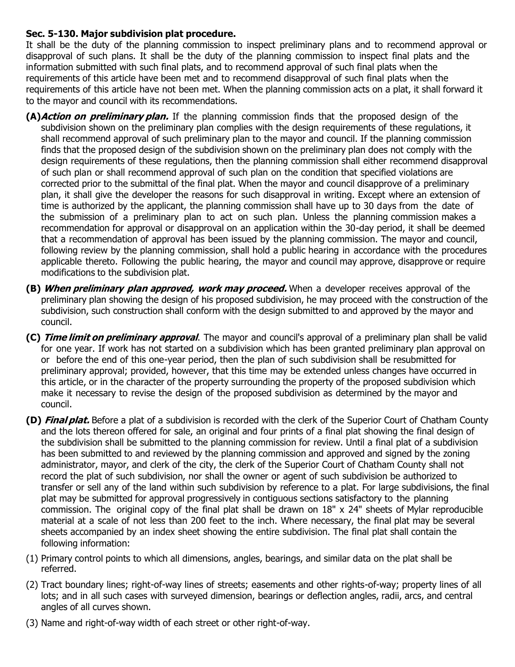## **Sec. 5-130. Major subdivision plat procedure.**

It shall be the duty of the planning commission to inspect preliminary plans and to recommend approval or disapproval of such plans. It shall be the duty of the planning commission to inspect final plats and the information submitted with such final plats, and to recommend approval of such final plats when the requirements of this article have been met and to recommend disapproval of such final plats when the requirements of this article have not been met. When the planning commission acts on a plat, it shall forward it to the mayor and council with its recommendations.

- **(A)Action on preliminary plan.** If the planning commission finds that the proposed design of the subdivision shown on the preliminary plan complies with the design requirements of these regulations, it shall recommend approval of such preliminary plan to the mayor and council. If the planning commission finds that the proposed design of the subdivision shown on the preliminary plan does not comply with the design requirements of these regulations, then the planning commission shall either recommend disapproval of such plan or shall recommend approval of such plan on the condition that specified violations are corrected prior to the submittal of the final plat. When the mayor and council disapprove of a preliminary plan, it shall give the developer the reasons for such disapproval in writing. Except where an extension of time is authorized by the applicant, the planning commission shall have up to 30 days from the date of the submission of a preliminary plan to act on such plan. Unless the planning commission makes a recommendation for approval or disapproval on an application within the 30-day period, it shall be deemed that a recommendation of approval has been issued by the planning commission. The mayor and council, following review by the planning commission, shall hold a public hearing in accordance with the procedures applicable thereto. Following the public hearing, the mayor and council may approve, disapprove or require modifications to the subdivision plat.
- **(B) When preliminary plan approved, work may proceed.** When a developer receives approval of the preliminary plan showing the design of his proposed subdivision, he may proceed with the construction of the subdivision, such construction shall conform with the design submitted to and approved by the mayor and council.
- **(C) Time limit on preliminary approval**. The mayor and council's approval of a preliminary plan shall be valid for one year. If work has not started on a subdivision which has been granted preliminary plan approval on or before the end of this one-year period, then the plan of such subdivision shall be resubmitted for preliminary approval; provided, however, that this time may be extended unless changes have occurred in this article, or in the character of the property surrounding the property of the proposed subdivision which make it necessary to revise the design of the proposed subdivision as determined by the mayor and council.
- **(D) Final plat.** Before a plat of a subdivision is recorded with the clerk of the Superior Court of Chatham County and the lots thereon offered for sale, an original and four prints of a final plat showing the final design of the subdivision shall be submitted to the planning commission for review. Until a final plat of a subdivision has been submitted to and reviewed by the planning commission and approved and signed by the zoning administrator, mayor, and clerk of the city, the clerk of the Superior Court of Chatham County shall not record the plat of such subdivision, nor shall the owner or agent of such subdivision be authorized to transfer or sell any of the land within such subdivision by reference to a plat. For large subdivisions, the final plat may be submitted for approval progressively in contiguous sections satisfactory to the planning commission. The original copy of the final plat shall be drawn on 18" x 24" sheets of Mylar reproducible material at a scale of not less than 200 feet to the inch. Where necessary, the final plat may be several sheets accompanied by an index sheet showing the entire subdivision. The final plat shall contain the following information:
- (1) Primary control points to which all dimensions, angles, bearings, and similar data on the plat shall be referred.
- (2) Tract boundary lines; right-of-way lines of streets; easements and other rights-of-way; property lines of all lots; and in all such cases with surveyed dimension, bearings or deflection angles, radii, arcs, and central angles of all curves shown.
- (3) Name and right-of-way width of each street or other right-of-way.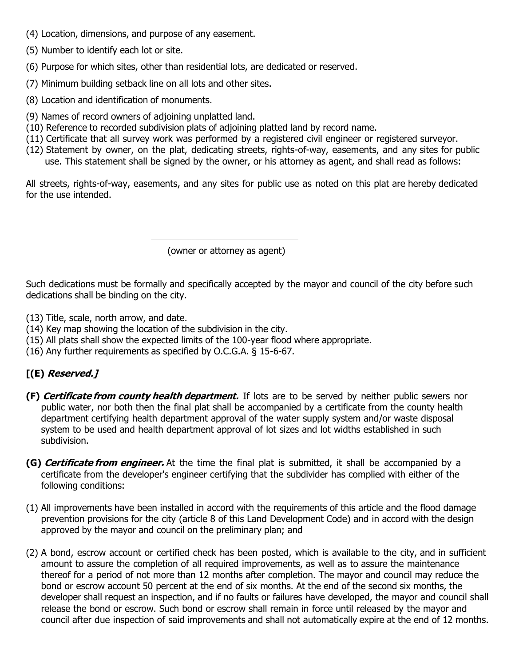- (4) Location, dimensions, and purpose of any easement.
- (5) Number to identify each lot or site.
- (6) Purpose for which sites, other than residential lots, are dedicated or reserved.
- (7) Minimum building setback line on all lots and other sites.
- (8) Location and identification of monuments.
- (9) Names of record owners of adjoining unplatted land.
- (10) Reference to recorded subdivision plats of adjoining platted land by record name.
- (11) Certificate that all survey work was performed by a registered civil engineer or registered surveyor.
- (12) Statement by owner, on the plat, dedicating streets, rights-of-way, easements, and any sites for public use. This statement shall be signed by the owner, or his attorney as agent, and shall read as follows:

All streets, rights-of-way, easements, and any sites for public use as noted on this plat are hereby dedicated for the use intended.

(owner or attorney as agent)

Such dedications must be formally and specifically accepted by the mayor and council of the city before such dedications shall be binding on the city.

- (13) Title, scale, north arrow, and date.
- (14) Key map showing the location of the subdivision in the city.
- (15) All plats shall show the expected limits of the 100-year flood where appropriate.
- (16) Any further requirements as specified by O.C.G.A. § 15-6-67.

## **[(E) Reserved.]**

- **(F) Certificate from county health department.** If lots are to be served by neither public sewers nor public water, nor both then the final plat shall be accompanied by a certificate from the county health department certifying health department approval of the water supply system and/or waste disposal system to be used and health department approval of lot sizes and lot widths established in such subdivision.
- **(G) Certificate from engineer.** At the time the final plat is submitted, it shall be accompanied by a certificate from the developer's engineer certifying that the subdivider has complied with either of the following conditions:
- (1) All improvements have been installed in accord with the requirements of this article and the flood damage prevention provisions for the city (article 8 of this Land Development Code) and in accord with the design approved by the mayor and council on the preliminary plan; and
- (2) A bond, escrow account or certified check has been posted, which is available to the city, and in sufficient amount to assure the completion of all required improvements, as well as to assure the maintenance thereof for a period of not more than 12 months after completion. The mayor and council may reduce the bond or escrow account 50 percent at the end of six months. At the end of the second six months, the developer shall request an inspection, and if no faults or failures have developed, the mayor and council shall release the bond or escrow. Such bond or escrow shall remain in force until released by the mayor and council after due inspection of said improvements and shall not automatically expire at the end of 12 months.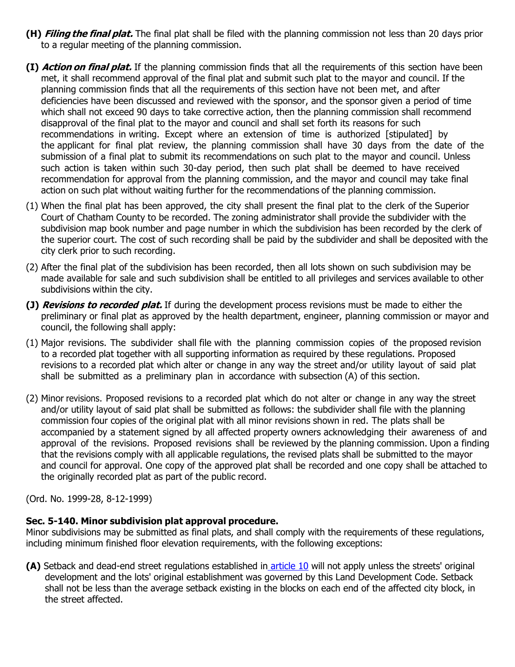- **(H) Filing the final plat.** The final plat shall be filed with the planning commission not less than 20 days prior to a regular meeting of the planning commission.
- **(I) Action on final plat.** If the planning commission finds that all the requirements of this section have been met, it shall recommend approval of the final plat and submit such plat to the mayor and council. If the planning commission finds that all the requirements of this section have not been met, and after deficiencies have been discussed and reviewed with the sponsor, and the sponsor given a period of time which shall not exceed 90 days to take corrective action, then the planning commission shall recommend disapproval of the final plat to the mayor and council and shall set forth its reasons for such recommendations in writing. Except where an extension of time is authorized [stipulated] by the applicant for final plat review, the planning commission shall have 30 days from the date of the submission of a final plat to submit its recommendations on such plat to the mayor and council. Unless such action is taken within such 30-day period, then such plat shall be deemed to have received recommendation for approval from the planning commission, and the mayor and council may take final action on such plat without waiting further for the recommendations of the planning commission.
- (1) When the final plat has been approved, the city shall present the final plat to the clerk of the Superior Court of Chatham County to be recorded. The zoning administrator shall provide the subdivider with the subdivision map book number and page number in which the subdivision has been recorded by the clerk of the superior court. The cost of such recording shall be paid by the subdivider and shall be deposited with the city clerk prior to such recording.
- (2) After the final plat of the subdivision has been recorded, then all lots shown on such subdivision may be made available for sale and such subdivision shall be entitled to all privileges and services available to other subdivisions within the city.
- **(J) Revisions to recorded plat.** If during the development process revisions must be made to either the preliminary or final plat as approved by the health department, engineer, planning commission or mayor and council, the following shall apply:
- (1) Major revisions. The subdivider shall file with the planning commission copies of the proposed revision to a recorded plat together with all supporting information as required by these regulations. Proposed revisions to a recorded plat which alter or change in any way the street and/or utility layout of said plat shall be submitted as a preliminary plan in accordance with subsection (A) of this section.
- (2) Minor revisions. Proposed revisions to a recorded plat which do not alter or change in any way the street and/or utility layout of said plat shall be submitted as follows: the subdivider shall file with the planning commission four copies of the original plat with all minor revisions shown in red. The plats shall be accompanied by a statement signed by all affected property owners acknowledging their awareness of and approval of the revisions. Proposed revisions shall be reviewed by the planning commission. Upon a finding that the revisions comply with all applicable regulations, the revised plats shall be submitted to the mayor and council for approval. One copy of the approved plat shall be recorded and one copy shall be attached to the originally recorded plat as part of the public record.

(Ord. No. 1999-28, 8-12-1999)

### **Sec. 5-140. Minor subdivision plat approval procedure.**

Minor subdivisions may be submitted as final plats, and shall comply with the requirements of these regulations, including minimum finished floor elevation requirements, with the following exceptions:

**(A)** Setback and dead-end street regulations established in [article 10](https://library.municode.com/ga/tybee_island/codes/code_of_ordinances?nodeId=PTIICOOR_APXALADECO_ART10SURE) will not apply unless the streets' original development and the lots' original establishment was governed by this Land Development Code. Setback shall not be less than the average setback existing in the blocks on each end of the affected city block, in the street affected.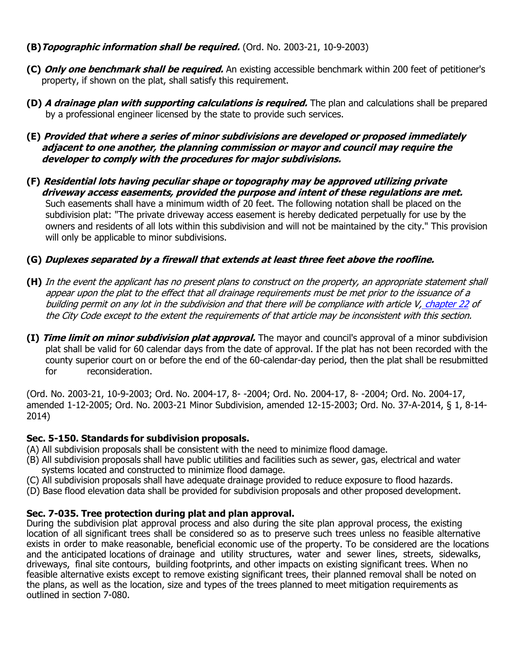- **(B)Topographic information shall be required.** (Ord. No. 2003-21, 10-9-2003)
- **(C) Only one benchmark shall be required.** An existing accessible benchmark within 200 feet of petitioner's property, if shown on the plat, shall satisfy this requirement.
- **(D) A drainage plan with supporting calculations is required.** The plan and calculations shall be prepared by a professional engineer licensed by the state to provide such services.
- **(E) Provided that where a series of minor subdivisions are developed or proposed immediately adjacent to one another, the planning commission or mayor and council may require the developer to comply with the procedures for major subdivisions.**
- **(F) Residential lots having peculiar shape or topography may be approved utilizing private driveway access easements, provided the purpose and intent of these regulations are met.** Such easements shall have a minimum width of 20 feet. The following notation shall be placed on the subdivision plat: "The private driveway access easement is hereby dedicated perpetually for use by the owners and residents of all lots within this subdivision and will not be maintained by the city." This provision will only be applicable to minor subdivisions.

## **(G) Duplexes separated by a firewall that extends at least three feet above the roofline.**

- **(H)** In the event the applicant has no present plans to construct on the property, an appropriate statement shall appear upon the plat to the effect that all drainage requirements must be met prior to the issuance of a building permit on any lot in the subdivision and that there will be compliance with article V, [chapter 22](https://library.municode.com/ga/tybee_island/codes/code_of_ordinances?nodeId=PTIICOOR_CH22EN) of the City Code except to the extent the requirements of that article may be inconsistent with this section.
- **(I) Time limit on minor subdivision plat approval.** The mayor and council's approval of a minor subdivision plat shall be valid for 60 calendar days from the date of approval. If the plat has not been recorded with the county superior court on or before the end of the 60-calendar-day period, then the plat shall be resubmitted for reconsideration.

(Ord. No. 2003-21, 10-9-2003; Ord. No. 2004-17, 8- -2004; Ord. No. 2004-17, 8- -2004; Ord. No. 2004-17, amended 1-12-2005; Ord. No. 2003-21 Minor Subdivision, amended 12-15-2003; Ord. No. 37-A-2014, § 1, 8-14- 2014)

### **Sec. 5-150. Standards for subdivision proposals.**

- (A) All subdivision proposals shall be consistent with the need to minimize flood damage.
- (B) All subdivision proposals shall have public utilities and facilities such as sewer, gas, electrical and water systems located and constructed to minimize flood damage.
- (C) All subdivision proposals shall have adequate drainage provided to reduce exposure to flood hazards.
- (D) Base flood elevation data shall be provided for subdivision proposals and other proposed development.

### **Sec. 7-035. Tree protection during plat and plan approval.**

During the subdivision plat approval process and also during the site plan approval process, the existing location of all significant trees shall be considered so as to preserve such trees unless no feasible alternative exists in order to make reasonable, beneficial economic use of the property. To be considered are the locations and the anticipated locations of drainage and utility structures, water and sewer lines, streets, sidewalks, driveways, final site contours, building footprints, and other impacts on existing significant trees. When no feasible alternative exists except to remove existing significant trees, their planned removal shall be noted on the plans, as well as the location, size and types of the trees planned to meet mitigation requirements as outlined in section 7-080.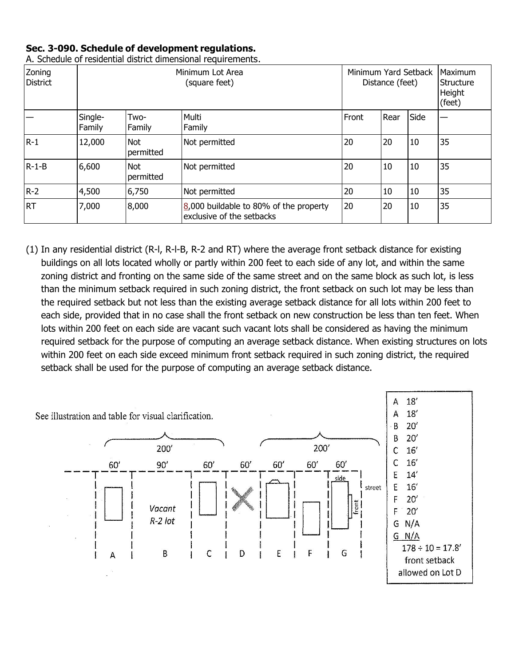## **Sec. 3-090. Schedule of development regulations.**

| Zoning<br><b>District</b> | Minimum Lot Area<br>(square feet) |                         |                                                                     | Minimum Yard Setback<br>Distance (feet) |      |      | <b>Maximum</b><br>Structure<br>Height<br>(feet) |
|---------------------------|-----------------------------------|-------------------------|---------------------------------------------------------------------|-----------------------------------------|------|------|-------------------------------------------------|
|                           | Single-<br>Family                 | Two-<br>Family          | Multi<br>Family                                                     | Front                                   | Rear | Side |                                                 |
| $R-1$                     | 12,000                            | <b>Not</b><br>permitted | Not permitted                                                       | 20                                      | 20   | 10   | 35                                              |
| $R-1-B$                   | 6,600                             | <b>Not</b><br>permitted | Not permitted                                                       | 20                                      | 10   | 10   | 35                                              |
| $R-2$                     | 4,500                             | 6,750                   | Not permitted                                                       | 20                                      | 10   | 10   | 35                                              |
| <b>RT</b>                 | 7,000                             | 8,000                   | 8,000 buildable to 80% of the property<br>exclusive of the setbacks | 20                                      | 20   | 10   | 35                                              |

A. Schedule of residential district dimensional requirements.

(1) In any residential district (R-l, R-l-B, R-2 and RT) where the average front setback distance for existing buildings on all lots located wholly or partly within 200 feet to each side of any lot, and within the same zoning district and fronting on the same side of the same street and on the same block as such lot, is less than the minimum setback required in such zoning district, the front setback on such lot may be less than the required setback but not less than the existing average setback distance for all lots within 200 feet to each side, provided that in no case shall the front setback on new construction be less than ten feet. When lots within 200 feet on each side are vacant such vacant lots shall be considered as having the minimum required setback for the purpose of computing an average setback distance. When existing structures on lots within 200 feet on each side exceed minimum front setback required in such zoning district, the required setback shall be used for the purpose of computing an average setback distance.

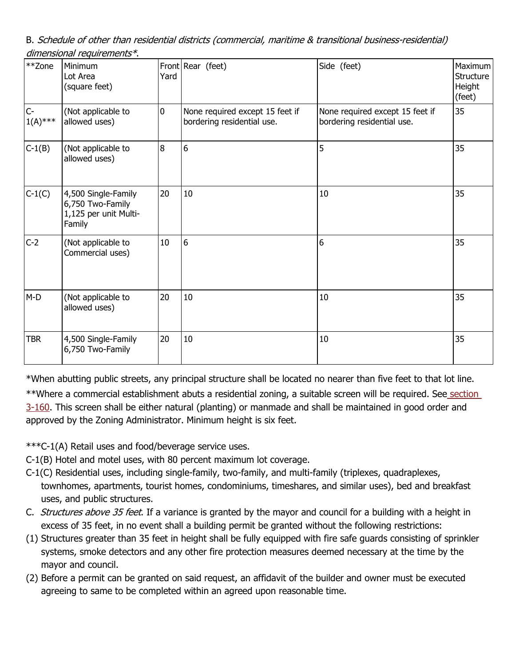B. Schedule of other than residential districts (commercial, maritime & transitional business-residential) dimensional requirements\*.

| **Zone             | Minimum<br>Lot Area<br>(square feet)                                       | Yard | Front Rear (feet)                                             | Side (feet)                                                   | Maximum<br>Structure<br>Height<br>(feet) |
|--------------------|----------------------------------------------------------------------------|------|---------------------------------------------------------------|---------------------------------------------------------------|------------------------------------------|
| $C-$<br>$1(A)$ *** | (Not applicable to<br>allowed uses)                                        | 0    | None required except 15 feet if<br>bordering residential use. | None required except 15 feet if<br>bordering residential use. | 35                                       |
| $C-1(B)$           | (Not applicable to<br>allowed uses)                                        | 8    | 6                                                             | 5                                                             | 35                                       |
| $C-1(C)$           | 4,500 Single-Family<br>6,750 Two-Family<br>1,125 per unit Multi-<br>Family | 20   | $10\,$                                                        | $10\,$                                                        | 35                                       |
| $C-2$              | (Not applicable to<br>Commercial uses)                                     | 10   | 6                                                             | 6                                                             | 35                                       |
| $M-D$              | (Not applicable to<br>allowed uses)                                        | 20   | $10\,$                                                        | $10\,$                                                        | 35                                       |
| TBR                | 4,500 Single-Family<br>6,750 Two-Family                                    | 20   | 10                                                            | 10                                                            | 35                                       |

\*When abutting public streets, any principal structure shall be located no nearer than five feet to that lot line.

\*\*Where a commercial establishment abuts a residential zoning, a suitable screen will be required. See [section](http://library.municode.com/HTML/14104/level3/PTIICOOR_APXALADECO_ART3GEPR.html#PTIICOOR_APXALADECO_ART3GEPR_S3-160PRSCADPRWHCOUSREUSAB) [3-160.](http://library.municode.com/HTML/14104/level3/PTIICOOR_APXALADECO_ART3GEPR.html#PTIICOOR_APXALADECO_ART3GEPR_S3-160PRSCADPRWHCOUSREUSAB) This screen shall be either natural (planting) or manmade and shall be maintained in good order and approved by the Zoning Administrator. Minimum height is six feet.

\*\*\*C-1(A) Retail uses and food/beverage service uses.

- C-1(B) Hotel and motel uses, with 80 percent maximum lot coverage.
- C-1(C) Residential uses, including single-family, two-family, and multi-family (triplexes, quadraplexes, townhomes, apartments, tourist homes, condominiums, timeshares, and similar uses), bed and breakfast uses, and public structures.
- C. Structures above 35 feet. If a variance is granted by the mayor and council for a building with a height in excess of 35 feet, in no event shall a building permit be granted without the following restrictions:
- (1) Structures greater than 35 feet in height shall be fully equipped with fire safe guards consisting of sprinkler systems, smoke detectors and any other fire protection measures deemed necessary at the time by the mayor and council.
- (2) Before a permit can be granted on said request, an affidavit of the builder and owner must be executed agreeing to same to be completed within an agreed upon reasonable time.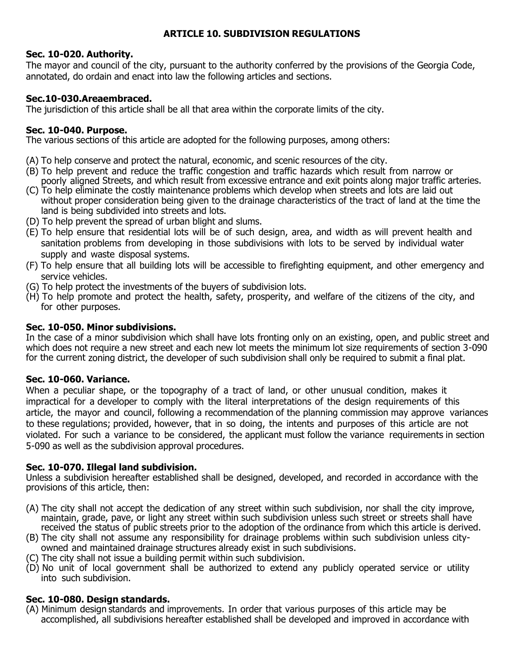## **ARTICLE 10. SUBDIVISION REGULATIONS**

### **Sec. 10-020. Authority.**

The mayor and council of the city, pursuant to the authority conferred by the provisions of the Georgia Code, annotated, do ordain and enact into law the following articles and sections.

## **Sec.10-030.Areaembraced.**

The jurisdiction of this article shall be all that area within the corporate limits of the city.

## **Sec. 10-040. Purpose.**

The various sections of this article are adopted for the following purposes, among others:

- (A) To help conserve and protect the natural, economic, and scenic resources of the city.
- (B) To help prevent and reduce the traffic congestion and traffic hazards which result from narrow or poorly aligned Streets, and which result from excessive entrance and exit points along major traffic arteries.
- (C) To help eliminate the costly maintenance problems which develop when streets and lots are laid out without proper consideration being given to the drainage characteristics of the tract of land at the time the land is being subdivided into streets and lots.
- (D) To help prevent the spread of urban blight and slums.
- (E) To help ensure that residential lots will be of such design, area, and width as will prevent health and sanitation problems from developing in those subdivisions with lots to be served by individual water supply and waste disposal systems.
- (F) To help ensure that all building lots will be accessible to firefighting equipment, and other emergency and service vehicles.
- (G) To help protect the investments of the buyers of subdivision lots.
- (H) To help promote and protect the health, safety, prosperity, and welfare of the citizens of the city, and for other purposes.

## **Sec. 10-050. Minor subdivisions.**

In the case of a minor subdivision which shall have lots fronting only on an existing, open, and public street and which does not require a new street and each new lot meets the minimum lot size requirements of section 3-090 for the current zoning district, the developer of such subdivision shall only be required to submit a final plat.

## **Sec. 10-060. Variance.**

When a peculiar shape, or the topography of a tract of land, or other unusual condition, makes it impractical for a developer to comply with the literal interpretations of the design requirements of this article, the mayor and council, following a recommendation of the planning commission may approve variances to these regulations; provided, however, that in so doing, the intents and purposes of this article are not violated. For such a variance to be considered, the applicant must follow the variance requirements in section 5-090 as well as the subdivision approval procedures.

## **Sec. 10-070. Illegal land subdivision.**

Unless a subdivision hereafter established shall be designed, developed, and recorded in accordance with the provisions of this article, then:

- (A) The city shall not accept the dedication of any street within such subdivision, nor shall the city improve, maintain, grade, pave, or light any street within such subdivision unless such street or streets shall have received the status of public streets prior to the adoption of the ordinance from which this article is derived.
- (B) The city shall not assume any responsibility for drainage problems within such subdivision unless cityowned and maintained drainage structures already exist in such subdivisions.
- (C) The city shall not issue a building permit within such subdivision.
- (D) No unit of local government shall be authorized to extend any publicly operated service or utility into such subdivision.

## **Sec. 10-080. Design standards.**

(A) Minimum design standards and improvements. In order that various purposes of this article may be accomplished, all subdivisions hereafter established shall be developed and improved in accordance with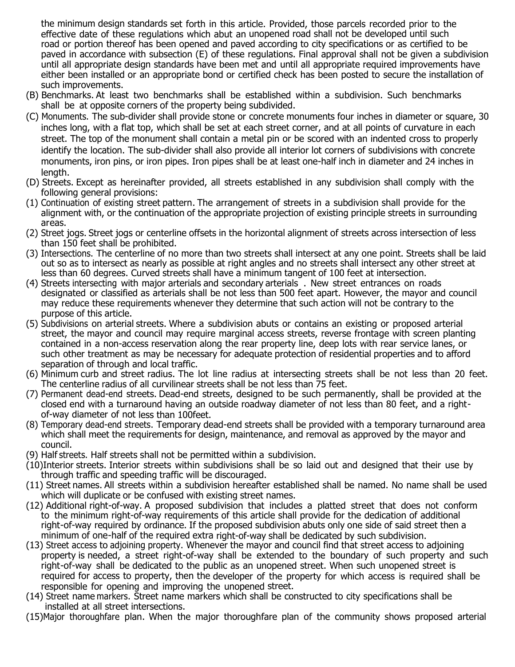the minimum design standards set forth in this article. Provided, those parcels recorded prior to the effective date of these regulations which abut an unopened road shall not be developed until such road or portion thereof has been opened and paved according to city specifications or as certified to be paved in accordance with subsection (E) of these regulations. Final approval shall not be given a subdivision until all appropriate design standards have been met and until all appropriate required improvements have either been installed or an appropriate bond or certified check has been posted to secure the installation of such improvements.

- (B) Benchmarks. At least two benchmarks shall be established within a subdivision. Such benchmarks shall be at opposite corners of the property being subdivided.
- (C) Monuments. The sub-divider shall provide stone or concrete monuments four inches in diameter or square, 30 inches long, with a flat top, which shall be set at each street corner, and at all points of curvature in each street. The top of the monument shall contain a metal pin or be scored with an indented cross to properly identify the location. The sub-divider shall also provide all interior lot corners of subdivisions with concrete monuments, iron pins, or iron pipes. Iron pipes shall be at least one-half inch in diameter and 24 inches in length.
- (D) Streets. Except as hereinafter provided, all streets established in any subdivision shall comply with the following general provisions:
- (1) Continuation of existing street pattern. The arrangement of streets in a subdivision shall provide for the alignment with, or the continuation of the appropriate projection of existing principle streets in surrounding areas.
- (2) Street jogs. Street jogs or centerline offsets in the horizontal alignment of streets across intersection of less than 150 feet shall be prohibited.
- (3) Intersections. The centerline of no more than two streets shall intersect at any one point. Streets shall be laid out so as to intersect as nearly as possible at right angles and no streets shall intersect any other street at less than 60 degrees. Curved streets shall have a minimum tangent of 100 feet at intersection.
- (4) Streets intersecting with major arterials and secondary arterials . New street entrances on roads designated or classified as arterials shall be not less than 500 feet apart. However, the mayor and council may reduce these requirements whenever they determine that such action will not be contrary to the purpose of this article.
- (5) Subdivisions on arterial streets. Where a subdivision abuts or contains an existing or proposed arterial street, the mayor and council may require marginal access streets, reverse frontage with screen planting contained in a non-access reservation along the rear property line, deep lots with rear service lanes, or such other treatment as may be necessary for adequate protection of residential properties and to afford separation of through and local traffic.
- (6) Minimum curb and street radius. The lot line radius at intersecting streets shall be not less than 20 feet. The centerline radius of all curvilinear streets shall be not less than 75 feet.
- (7) Permanent dead-end streets. Dead-end streets, designed to be such permanently, shall be provided at the closed end with a turnaround having an outside roadway diameter of not less than 80 feet, and a rightof-way diameter of not less than 100feet.
- (8) Temporary dead-end streets. Temporary dead-end streets shall be provided with a temporary turnaround area which shall meet the requirements for design, maintenance, and removal as approved by the mayor and council.
- (9) Half streets. Half streets shall not be permitted within a subdivision.
- (10)Interior streets. Interior streets within subdivisions shall be so laid out and designed that their use by through traffic and speeding traffic will be discouraged.
- (11) Street names. All streets within a subdivision hereafter established shall be named. No name shall be used which will duplicate or be confused with existing street names.
- (12) Additional right-of-way. A proposed subdivision that includes a platted street that does not conform to the minimum right-of-way requirements of this article shall provide for the dedication of additional right-of-way required by ordinance. If the proposed subdivision abuts only one side of said street then a minimum of one-half of the required extra right-of-way shall be dedicated by such subdivision.
- (13) Street access to adjoining property. Whenever the mayor and council find that street access to adjoining property is needed, a street right-of-way shall be extended to the boundary of such property and such right-of-way shall be dedicated to the public as an unopened street. When such unopened street is required for access to property, then the developer of the property for which access is required shall be responsible for opening and improving the unopened street.
- (14) Street name markers. Street name markers which shall be constructed to city specifications shall be installed at all street intersections.
- (15)Major thoroughfare plan. When the major thoroughfare plan of the community shows proposed arterial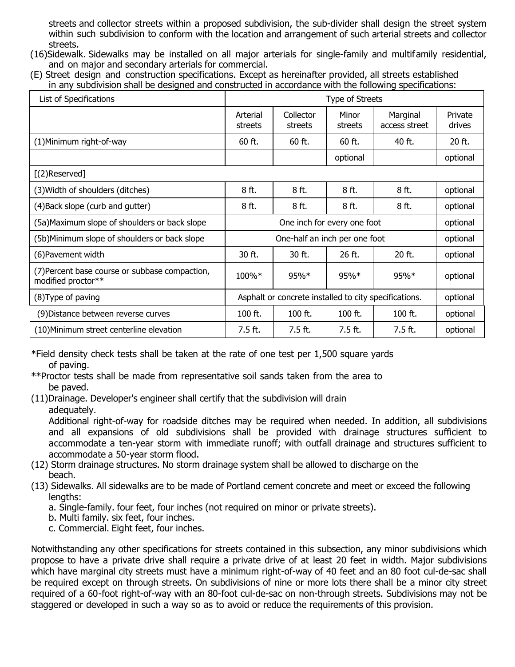streets and collector streets within a proposed subdivision, the sub-divider shall design the street system within such subdivision to conform with the location and arrangement of such arterial streets and collector streets.

- (16)Sidewalk. Sidewalks may be installed on all major arterials for single-family and multifamily residential, and on major and secondary arterials for commercial.
- (E) Street design and construction specifications. Except as hereinafter provided, all streets established in any subdivision shall be designed and constructed in accordance with the following specifications:

| List of Specifications                                               | Type of Streets                                       |                      |                  |                           |                   |
|----------------------------------------------------------------------|-------------------------------------------------------|----------------------|------------------|---------------------------|-------------------|
|                                                                      | Arterial<br>streets                                   | Collector<br>streets | Minor<br>streets | Marginal<br>access street | Private<br>drives |
| (1) Minimum right-of-way                                             | $60$ ft.                                              | 60 ft.               | $60$ ft.         | 40 ft.                    | 20 ft.            |
|                                                                      |                                                       |                      | optional         |                           | optional          |
| $[(2)$ Reserved]                                                     |                                                       |                      |                  |                           |                   |
| (3) Width of shoulders (ditches)                                     | 8 ft.                                                 | 8 ft.                | 8 ft.            | 8 ft.                     | optional          |
| (4) Back slope (curb and gutter)                                     | 8 ft.                                                 | 8 ft.                | 8 ft.            | 8 ft.                     | optional          |
| (5a) Maximum slope of shoulders or back slope                        | One inch for every one foot                           |                      |                  |                           | optional          |
| (5b)Minimum slope of shoulders or back slope                         | One-half an inch per one foot                         |                      |                  |                           | optional          |
| (6) Pavement width                                                   | 30 ft.                                                | 30 ft.               | 26 ft.           | 20 ft.                    | optional          |
| (7) Percent base course or subbase compaction,<br>modified proctor** | 100%*                                                 | 95%*                 | $95%*$           | $95\%*$                   | optional          |
| (8) Type of paving                                                   | Asphalt or concrete installed to city specifications. |                      |                  |                           | optional          |
| (9) Distance between reverse curves                                  | 100 ft.                                               | 100 ft.              | $100$ ft.        | 100 ft.                   | optional          |
| (10) Minimum street centerline elevation                             | 7.5 ft.                                               | 7.5 ft.              | 7.5 ft.          | $7.5$ ft.                 | optional          |

\*Field density check tests shall be taken at the rate of one test per 1,500 square yards of paving.

- \*\*Proctor tests shall be made from representative soil sands taken from the area to be paved.
- (11)Drainage. Developer's engineer shall certify that the subdivision will drain adequately.

Additional right-of-way for roadside ditches may be required when needed. In addition, all subdivisions and all expansions of old subdivisions shall be provided with drainage structures sufficient to accommodate a ten-year storm with immediate runoff; with outfall drainage and structures sufficient to accommodate a 50-year storm flood.

- (12) Storm drainage structures. No storm drainage system shall be allowed to discharge on the beach.
- (13) Sidewalks. All sidewalks are to be made of Portland cement concrete and meet or exceed the following lengths:
	- a. Single-family. four feet, four inches (not required on minor or private streets).
	- b. Multi family. six feet, four inches.
	- c. Commercial. Eight feet, four inches.

Notwithstanding any other specifications for streets contained in this subsection, any minor subdivisions which propose to have a private drive shall require a private drive of at least 20 feet in width. Major subdivisions which have marginal city streets must have a minimum right-of-way of 40 feet and an 80 foot cul-de-sac shall be required except on through streets. On subdivisions of nine or more lots there shall be a minor city street required of a 60-foot right-of-way with an 80-foot cul-de-sac on non-through streets. Subdivisions may not be staggered or developed in such a way so as to avoid or reduce the requirements of this provision.